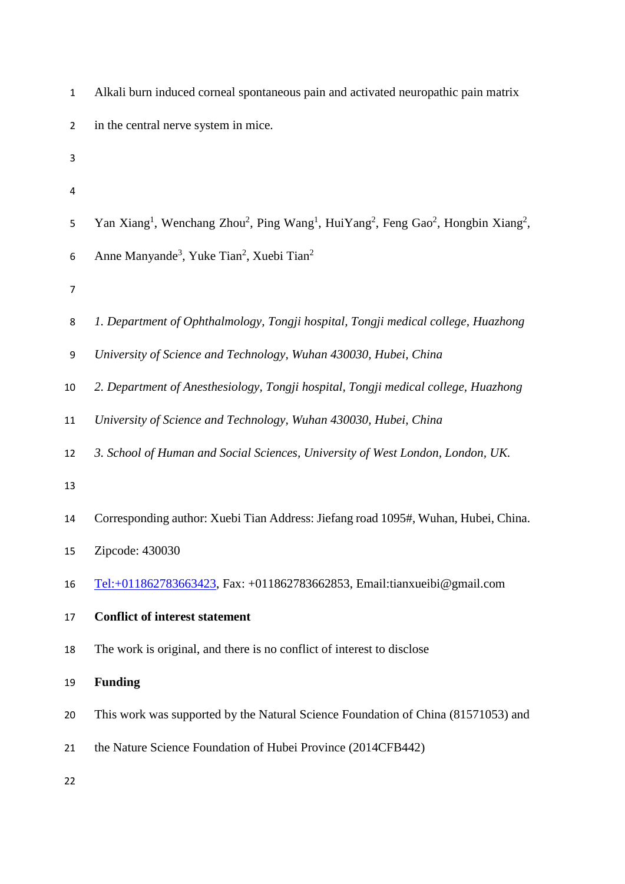| $\mathbf{1}$     | Alkali burn induced corneal spontaneous pain and activated neuropathic pain matrix                                                                         |
|------------------|------------------------------------------------------------------------------------------------------------------------------------------------------------|
| $\overline{2}$   | in the central nerve system in mice.                                                                                                                       |
| 3                |                                                                                                                                                            |
| 4                |                                                                                                                                                            |
| 5                | Yan Xiang <sup>1</sup> , Wenchang Zhou <sup>2</sup> , Ping Wang <sup>1</sup> , HuiYang <sup>2</sup> , Feng Gao <sup>2</sup> , Hongbin Xiang <sup>2</sup> , |
| $\boldsymbol{6}$ | Anne Manyande <sup>3</sup> , Yuke Tian <sup>2</sup> , Xuebi Tian <sup>2</sup>                                                                              |
| $\overline{7}$   |                                                                                                                                                            |
| 8                | 1. Department of Ophthalmology, Tongji hospital, Tongji medical college, Huazhong                                                                          |
| 9                | University of Science and Technology, Wuhan 430030, Hubei, China                                                                                           |
| $10\,$           | 2. Department of Anesthesiology, Tongji hospital, Tongji medical college, Huazhong                                                                         |
| 11               | University of Science and Technology, Wuhan 430030, Hubei, China                                                                                           |
| 12               | 3. School of Human and Social Sciences, University of West London, London, UK.                                                                             |
| 13               |                                                                                                                                                            |
| 14               | Corresponding author: Xuebi Tian Address: Jiefang road 1095#, Wuhan, Hubei, China.                                                                         |
| 15               | Zipcode: 430030                                                                                                                                            |
| 16               | Tel:+011862783663423, Fax: +011862783662853, Email:tianxueibi@gmail.com                                                                                    |
| 17               | <b>Conflict of interest statement</b>                                                                                                                      |
| 18               | The work is original, and there is no conflict of interest to disclose                                                                                     |
| 19               | <b>Funding</b>                                                                                                                                             |
| 20               | This work was supported by the Natural Science Foundation of China (81571053) and                                                                          |
| 21               | the Nature Science Foundation of Hubei Province (2014CFB442)                                                                                               |
| 22               |                                                                                                                                                            |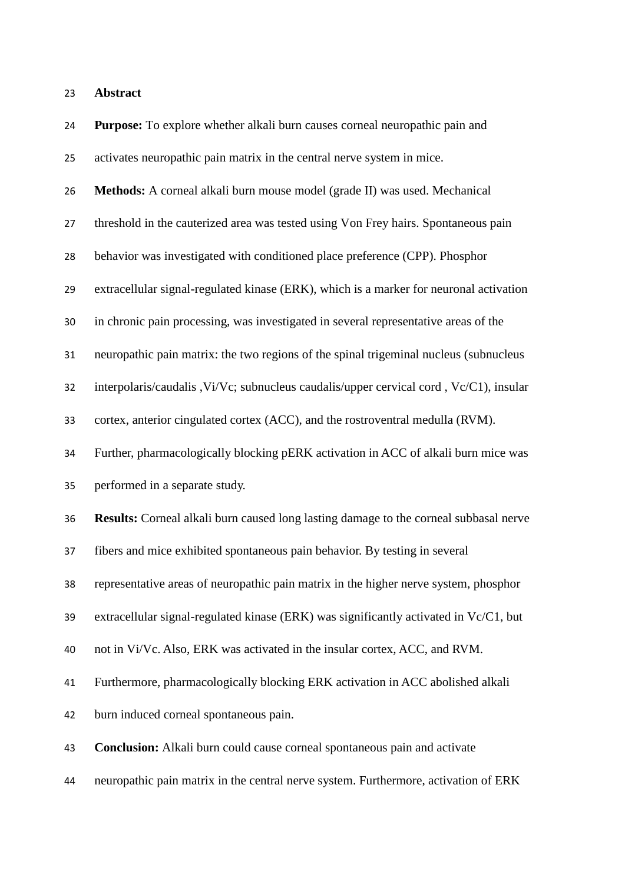| 24 | Purpose: To explore whether alkali burn causes corneal neuropathic pain and                  |
|----|----------------------------------------------------------------------------------------------|
| 25 | activates neuropathic pain matrix in the central nerve system in mice.                       |
| 26 | Methods: A corneal alkali burn mouse model (grade II) was used. Mechanical                   |
| 27 | threshold in the cauterized area was tested using Von Frey hairs. Spontaneous pain           |
| 28 | behavior was investigated with conditioned place preference (CPP). Phosphor                  |
| 29 | extracellular signal-regulated kinase (ERK), which is a marker for neuronal activation       |
| 30 | in chronic pain processing, was investigated in several representative areas of the          |
| 31 | neuropathic pain matrix: the two regions of the spinal trigeminal nucleus (subnucleus        |
| 32 | interpolaris/caudalis , Vi/Vc; subnucleus caudalis/upper cervical cord, Vc/C1), insular      |
| 33 | cortex, anterior cingulated cortex (ACC), and the rostroventral medulla (RVM).               |
| 34 | Further, pharmacologically blocking pERK activation in ACC of alkali burn mice was           |
| 35 | performed in a separate study.                                                               |
| 36 | <b>Results:</b> Corneal alkali burn caused long lasting damage to the corneal subbasal nerve |
| 37 | fibers and mice exhibited spontaneous pain behavior. By testing in several                   |
| 38 | representative areas of neuropathic pain matrix in the higher nerve system, phosphor         |
| 39 | extracellular signal-regulated kinase (ERK) was significantly activated in Vc/C1, but        |
| 40 | not in Vi/Vc. Also, ERK was activated in the insular cortex, ACC, and RVM.                   |
| 41 | Furthermore, pharmacologically blocking ERK activation in ACC abolished alkali               |
| 42 | burn induced corneal spontaneous pain.                                                       |
| 43 | Conclusion: Alkali burn could cause corneal spontaneous pain and activate                    |
| 44 | neuropathic pain matrix in the central nerve system. Furthermore, activation of ERK          |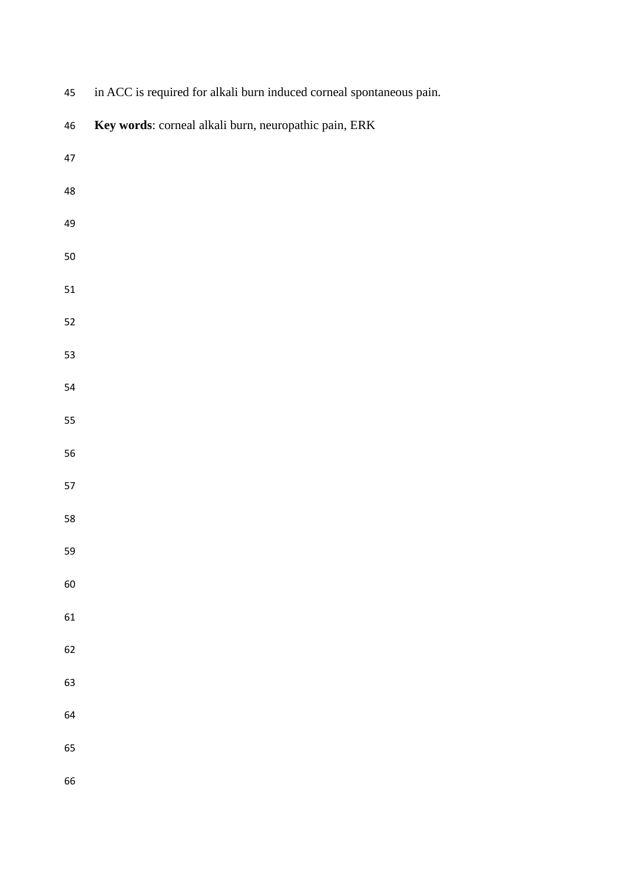| $45\,$   | in ACC is required for alkali burn induced corneal spontaneous pain. |
|----------|----------------------------------------------------------------------|
| $46\,$   | Key words: corneal alkali burn, neuropathic pain, ERK                |
| $47\,$   |                                                                      |
| $\bf 48$ |                                                                      |
| 49       |                                                                      |
| $50\,$   |                                                                      |
| 51       |                                                                      |
| 52       |                                                                      |
| 53       |                                                                      |
| 54       |                                                                      |
| 55       |                                                                      |
| 56       |                                                                      |
| 57       |                                                                      |
| 58       |                                                                      |
| 59       |                                                                      |
| 60       |                                                                      |
| 61       |                                                                      |
| 62       |                                                                      |
| 63       |                                                                      |
| 64       |                                                                      |
| 65       |                                                                      |
| 66       |                                                                      |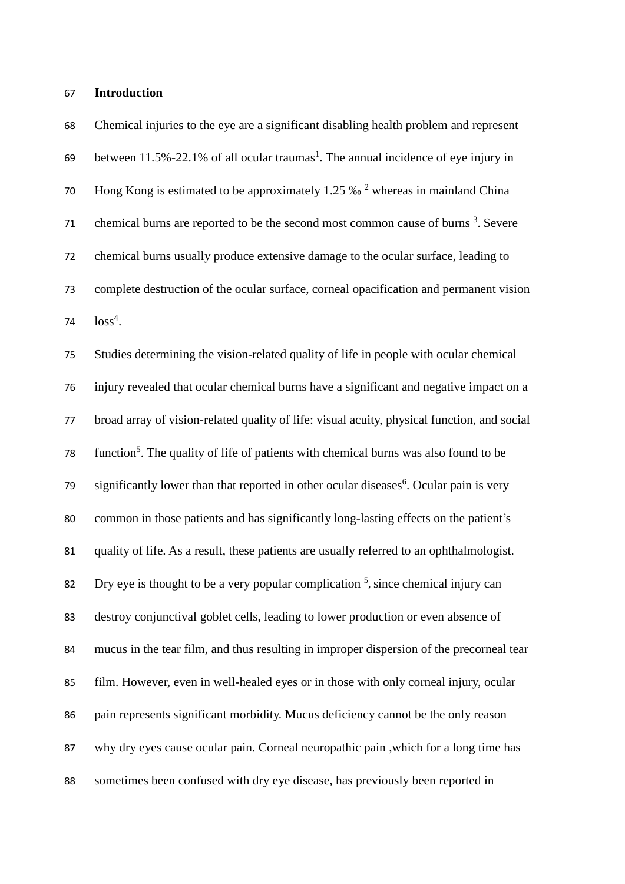#### **Introduction**

 Chemical injuries to the eye are a significant disabling health problem and represent 69 between [1](#page-18-0)1.5%-22.1% of all ocular traumas<sup>1</sup>. The annual incidence of eye injury in 70 Hong Kong is estimated to be approximately 1.[2](#page-18-1)5  $\%$ <sup>2</sup> whereas in mainland China 71 chemical burns are reported to be the second most common cause of burns . Severe chemical burns usually produce extensive damage to the ocular surface, leading to complete destruction of the ocular surface, corneal opacification and permanent vision 74  $\log^4$ .

 Studies determining the vision-related quality of life in people with ocular chemical injury revealed that ocular chemical burns have a significant and negative impact on a broad array of vision-related quality of life: visual acuity, physical function, and social 78 function<sup>[5](#page-18-4)</sup>. The quality of life of patients with chemical burns was also found to be 79 significantly lower than that reported in other ocular diseases<sup>[6](#page-18-5)</sup>. Ocular pain is very common in those patients and has significantly long-lasting effects on the patient's quality of life. As a result, these patients are usually referred to an ophthalmologist. 82 Dry eye is thought to be a very popular complication  $<sup>5</sup>$  $<sup>5</sup>$  $<sup>5</sup>$ , since chemical injury can</sup> destroy conjunctival [goblet cells,](http://en.wikipedia.org/wiki/Goblet_cell) leading to lower production or even absence of mucus in the tear film, and thus resulting in improper dispersion of the precorneal tear film. However, even in well-healed eyes or in those with only corneal injury, ocular pain represents significant morbidity. Mucus deficiency cannot be the only reason why dry eyes cause ocular pain. Corneal neuropathic pain ,which for a long time has sometimes been confused with dry eye disease, has previously been reported in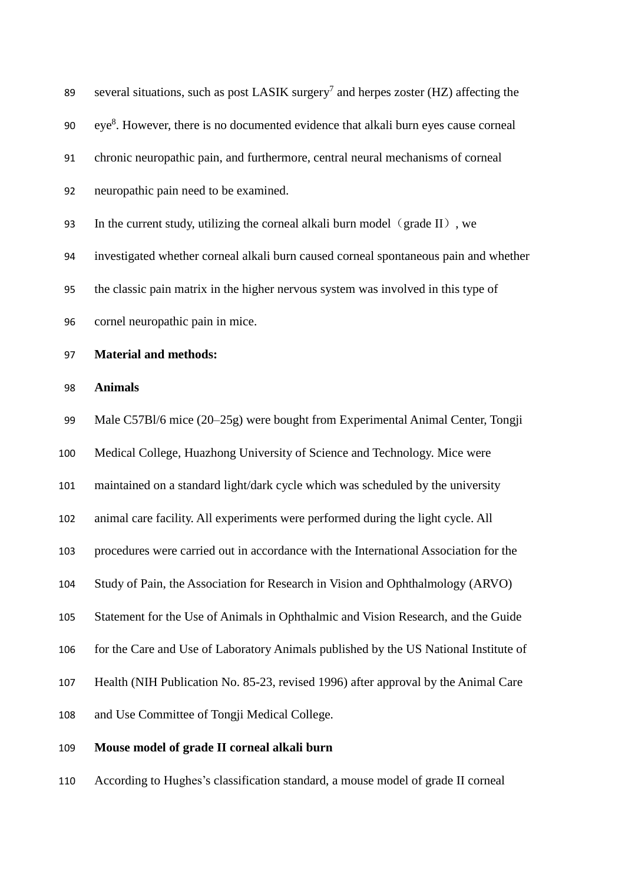| 89  | several situations, such as post LASIK surgery <sup>7</sup> and herpes zoster (HZ) affecting the |
|-----|--------------------------------------------------------------------------------------------------|
| 90  | eye <sup>8</sup> . However, there is no documented evidence that alkali burn eyes cause corneal  |
| 91  | chronic neuropathic pain, and furthermore, central neural mechanisms of corneal                  |
| 92  | neuropathic pain need to be examined.                                                            |
| 93  | In the current study, utilizing the corneal alkali burn model (grade II), we                     |
| 94  | investigated whether corneal alkali burn caused corneal spontaneous pain and whether             |
| 95  | the classic pain matrix in the higher nervous system was involved in this type of                |
| 96  | cornel neuropathic pain in mice.                                                                 |
| 97  | <b>Material and methods:</b>                                                                     |
| 98  | <b>Animals</b>                                                                                   |
| 99  | Male C57Bl/6 mice (20–25g) were bought from Experimental Animal Center, Tongji                   |
| 100 | Medical College, Huazhong University of Science and Technology. Mice were                        |
| 101 | maintained on a standard light/dark cycle which was scheduled by the university                  |
| 102 | animal care facility. All experiments were performed during the light cycle. All                 |
| 103 | procedures were carried out in accordance with the International Association for the             |
| 104 | Study of Pain, the Association for Research in Vision and Ophthalmology (ARVO)                   |
| 105 | Statement for the Use of Animals in Ophthalmic and Vision Research, and the Guide                |
| 106 | for the Care and Use of Laboratory Animals published by the US National Institute of             |
| 107 | Health (NIH Publication No. 85-23, revised 1996) after approval by the Animal Care               |
| 108 | and Use Committee of Tongji Medical College.                                                     |
| 109 | Mouse model of grade II corneal alkali burn                                                      |
|     |                                                                                                  |

According to Hughes's classification standard, a mouse model of grade II corneal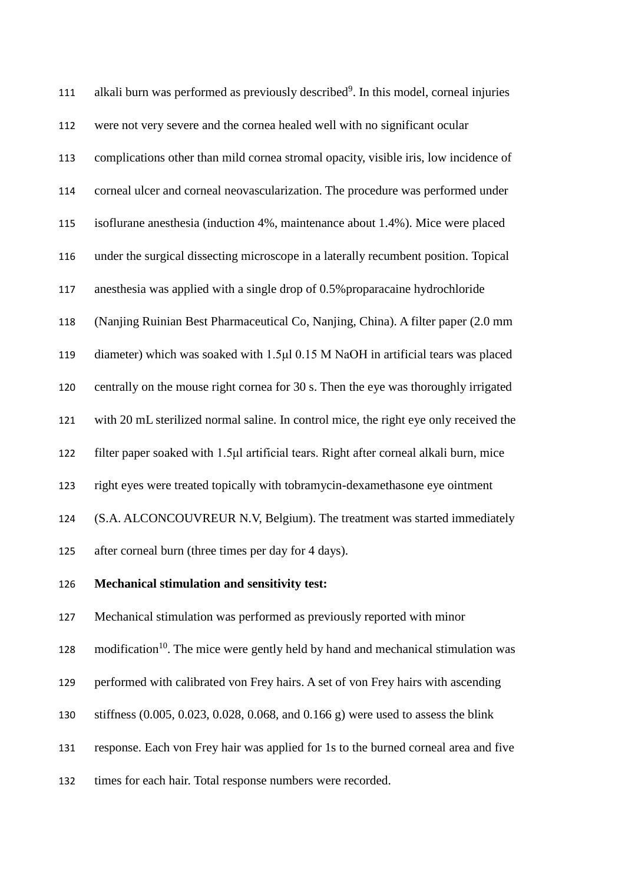| 111 | alkali burn was performed as previously described <sup>9</sup> . In this model, corneal injuries |
|-----|--------------------------------------------------------------------------------------------------|
| 112 | were not very severe and the cornea healed well with no significant ocular                       |
| 113 | complications other than mild cornea stromal opacity, visible iris, low incidence of             |
| 114 | corneal ulcer and corneal neovascularization. The procedure was performed under                  |
| 115 | isoflurane anesthesia (induction 4%, maintenance about 1.4%). Mice were placed                   |
| 116 | under the surgical dissecting microscope in a laterally recumbent position. Topical              |
| 117 | anesthesia was applied with a single drop of 0.5% proparacaine hydrochloride                     |
| 118 | (Nanjing Ruinian Best Pharmaceutical Co, Nanjing, China). A filter paper (2.0 mm                 |
| 119 | diameter) which was soaked with 1.5µl 0.15 M NaOH in artificial tears was placed                 |
| 120 | centrally on the mouse right cornea for 30 s. Then the eye was thoroughly irrigated              |
| 121 | with 20 mL sterilized normal saline. In control mice, the right eye only received the            |
| 122 | filter paper soaked with 1.5µl artificial tears. Right after corneal alkali burn, mice           |
| 123 | right eyes were treated topically with tobramycin-dexamethasone eye ointment                     |
| 124 | (S.A. ALCONCOUVREUR N.V, Belgium). The treatment was started immediately                         |
| 125 | after corneal burn (three times per day for 4 days).                                             |
| 126 | Mechanical stimulation and sensitivity test:                                                     |
| 127 | Mechanical stimulation was performed as previously reported with minor                           |
| 128 | modification <sup>10</sup> . The mice were gently held by hand and mechanical stimulation was    |

- performed with calibrated von Frey hairs. A set of von Frey hairs with ascending
- stiffness (0.005, 0.023, 0.028, 0.068, and 0.166 g) were used to assess the blink
- response. Each von Frey hair was applied for 1s to the burned corneal area and five
- times for each hair. Total response numbers were recorded.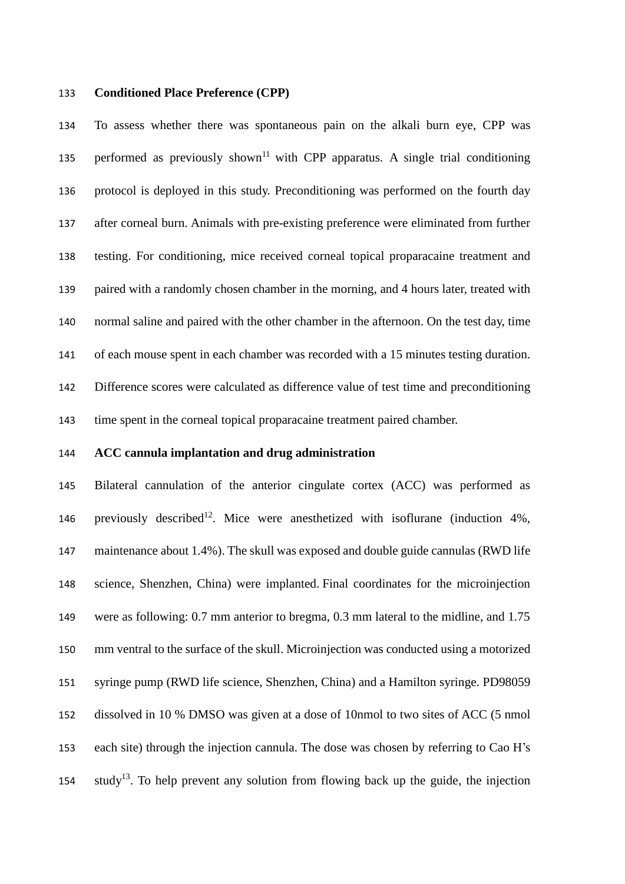#### **Conditioned Place Preference (CPP)**

 To assess whether there was spontaneous pain on the alkali burn eye, CPP was 135 performed as previously shown<sup>[11](#page-18-10)</sup> with CPP apparatus. A single trial conditioning protocol is deployed in this study. Preconditioning was performed on the fourth day after corneal burn. Animals with pre-existing preference were eliminated from further testing. For conditioning, mice received corneal topical proparacaine treatment and paired with a randomly chosen chamber in the morning, and 4 hours later, treated with normal saline and paired with the other chamber in the afternoon. On the test day, time of each mouse spent in each chamber was recorded with a 15 minutes testing duration. Difference scores were calculated as difference value of test time and preconditioning time spent in the corneal topical proparacaine treatment paired chamber.

#### **ACC cannula implantation and drug administration**

 Bilateral cannulation of the anterior cingulate cortex (ACC) was performed as 146 previously described<sup>[12](#page-18-11)</sup>. Mice were anesthetized with isoflurane (induction  $4\%$ , maintenance about 1.4%). The skull was exposed and double guide cannulas (RWD life science, Shenzhen, China) were implanted. Final coordinates for the microinjection were as following: 0.7 mm anterior to bregma, 0.3 mm lateral to the midline, and 1.75 mm ventral to the surface of the skull. Microinjection was conducted using a motorized syringe pump (RWD life science, Shenzhen, China) and a Hamilton syringe. PD98059 dissolved in 10 % DMSO was given at a dose of 10nmol to two sites of ACC (5 nmol each site) through the injection cannula. The dose was chosen by referring to Cao H's study<sup>[13](#page-18-12)</sup>. To help prevent any solution from flowing back up the guide, the injection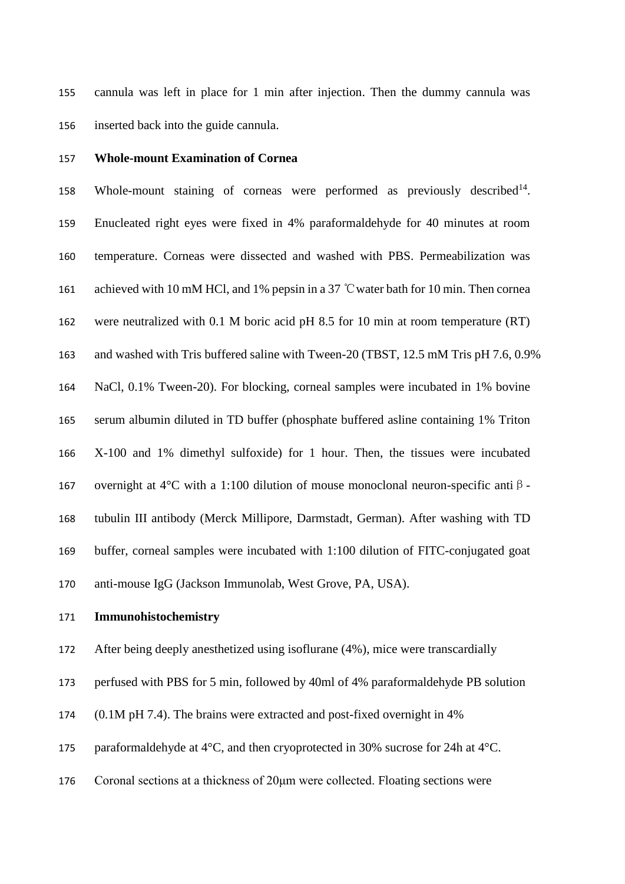cannula was left in place for 1 min after injection. Then the dummy cannula was inserted back into the guide cannula.

#### **Whole-mount Examination of Cornea**

158 Whole-mount staining of corneas were performed as previously described<sup>[14](#page-18-13)</sup>. Enucleated right eyes were fixed in 4% paraformaldehyde for 40 minutes at room temperature. Corneas were dissected and washed with PBS. Permeabilization was achieved with 10 mM HCl, and 1% pepsin in a 37 ℃water bath for 10 min. Then cornea were neutralized with 0.1 M boric acid pH 8.5 for 10 min at room temperature (RT) and washed with Tris buffered saline with Tween-20 (TBST, 12.5 mM Tris pH 7.6, 0.9% NaCl, 0.1% Tween-20). For blocking, corneal samples were incubated in 1% bovine serum albumin diluted in TD buffer (phosphate buffered asline containing 1% Triton X-100 and 1% dimethyl sulfoxide) for 1 hour. Then, the tissues were incubated 167 overnight at 4°C with a 1:100 dilution of mouse monoclonal neuron-specific anti  $\beta$ - tubulin III antibody (Merck Millipore, Darmstadt, German). After washing with TD buffer, corneal samples were incubated with 1:100 dilution of FITC-conjugated goat anti-mouse IgG (Jackson Immunolab, West Grove, PA, USA).

# **Immunohistochemistry**

After being deeply anesthetized using isoflurane (4%), mice were transcardially

perfused with PBS for 5 min, followed by 40ml of 4% paraformaldehyde PB solution

174 (0.1M pH 7.4). The brains were extracted and post-fixed overnight in 4%

175 paraformaldehyde at  $4^{\circ}$ C, and then cryoprotected in 30% sucrose for 24h at  $4^{\circ}$ C.

Coronal sections at a thickness of 20μm were collected. Floating sections were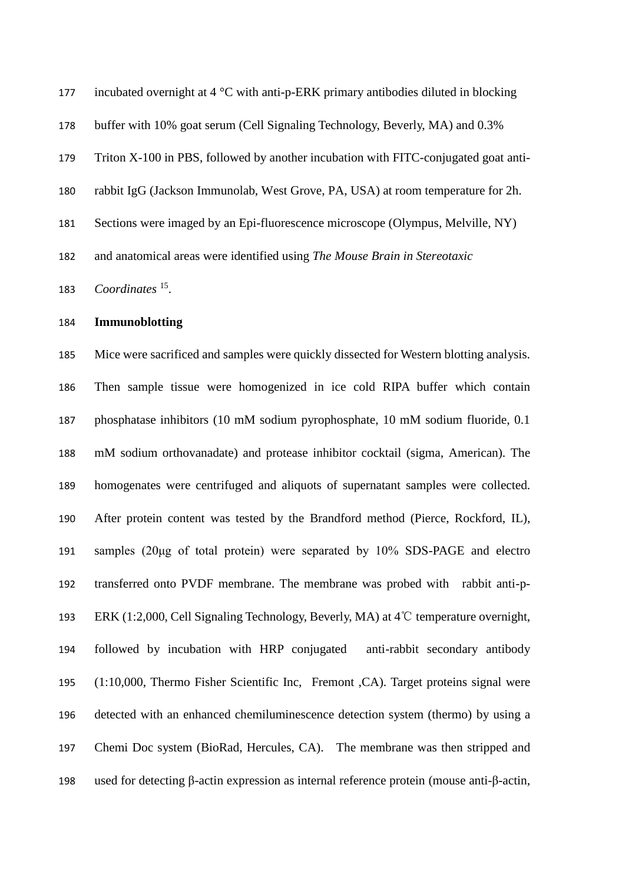| 177 | incubated overnight at $4^{\circ}$ C with anti-p-ERK primary antibodies diluted in blocking |
|-----|---------------------------------------------------------------------------------------------|
| 178 | buffer with 10% goat serum (Cell Signaling Technology, Beverly, MA) and 0.3%                |
| 179 | Triton X-100 in PBS, followed by another incubation with FITC-conjugated goat anti-         |
| 180 | rabbit IgG (Jackson Immunolab, West Grove, PA, USA) at room temperature for 2h.             |
| 181 | Sections were imaged by an Epi-fluorescence microscope (Olympus, Melville, NY)              |
| 182 | and anatomical areas were identified using The Mouse Brain in Stereotaxic                   |
| 183 | Coordinates $^{15}$ .                                                                       |

**Immunoblotting** 

 Mice were sacrificed and samples were quickly dissected for Western blotting analysis. Then sample tissue were homogenized in ice cold RIPA buffer which contain phosphatase inhibitors (10 mM sodium pyrophosphate, 10 mM sodium fluoride, 0.1 mM sodium orthovanadate) and protease inhibitor cocktail (sigma, American). The homogenates were centrifuged and aliquots of supernatant samples were collected. After protein content was tested by the Brandford method (Pierce, Rockford, IL), samples (20μg of total protein) were separated by 10% SDS-PAGE and electro transferred onto PVDF membrane. The membrane was probed with rabbit anti-p- ERK (1:2,000, Cell Signaling Technology, Beverly, MA) at 4℃ temperature overnight, followed by incubation with HRP conjugated anti-rabbit secondary antibody (1:10,000, Thermo Fisher Scientific Inc, Fremont ,CA). Target proteins signal were detected with an enhanced chemiluminescence detection system (thermo) by using a Chemi Doc system (BioRad, Hercules, CA). The membrane was then stripped and used for detecting β-actin expression as internal reference protein (mouse anti-β-actin,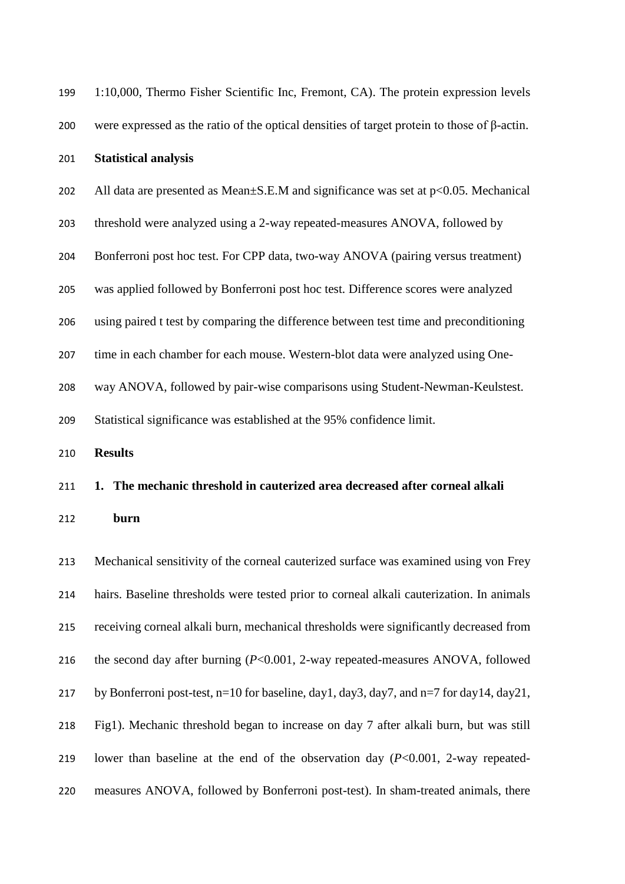| 199 | 1:10,000, Thermo Fisher Scientific Inc, Fremont, CA). The protein expression levels                |
|-----|----------------------------------------------------------------------------------------------------|
| 200 | were expressed as the ratio of the optical densities of target protein to those of $\beta$ -actin. |
| 201 | <b>Statistical analysis</b>                                                                        |
| 202 | All data are presented as Mean $\pm$ S.E.M and significance was set at $p<0.05$ . Mechanical       |
| 203 | threshold were analyzed using a 2-way repeated-measures ANOVA, followed by                         |
| 204 | Bonferroni post hoc test. For CPP data, two-way ANOVA (pairing versus treatment)                   |
| 205 | was applied followed by Bonferroni post hoc test. Difference scores were analyzed                  |
| 206 | using paired t test by comparing the difference between test time and preconditioning              |
| 207 | time in each chamber for each mouse. Western-blot data were analyzed using One-                    |
| 208 | way ANOVA, followed by pair-wise comparisons using Student-Newman-Keulstest.                       |
| 209 | Statistical significance was established at the 95% confidence limit.                              |
| 210 | <b>Results</b>                                                                                     |
| 211 | 1. The mechanic threshold in cauterized area decreased after corneal alkali                        |
| 212 | burn                                                                                               |
|     |                                                                                                    |

 Mechanical sensitivity of the corneal cauterized surface was examined using von Frey hairs. Baseline thresholds were tested prior to corneal alkali cauterization. In animals receiving corneal alkali burn, mechanical thresholds were significantly decreased from the second day after burning (*P*<0.001, 2-way repeated-measures ANOVA, followed 217 by Bonferroni post-test, n=10 for baseline, day1, day3, day7, and n=7 for day14, day21, Fig1). Mechanic threshold began to increase on day 7 after alkali burn, but was still lower than baseline at the end of the observation day (*P*<0.001, 2-way repeated-measures ANOVA, followed by Bonferroni post-test). In sham-treated animals, there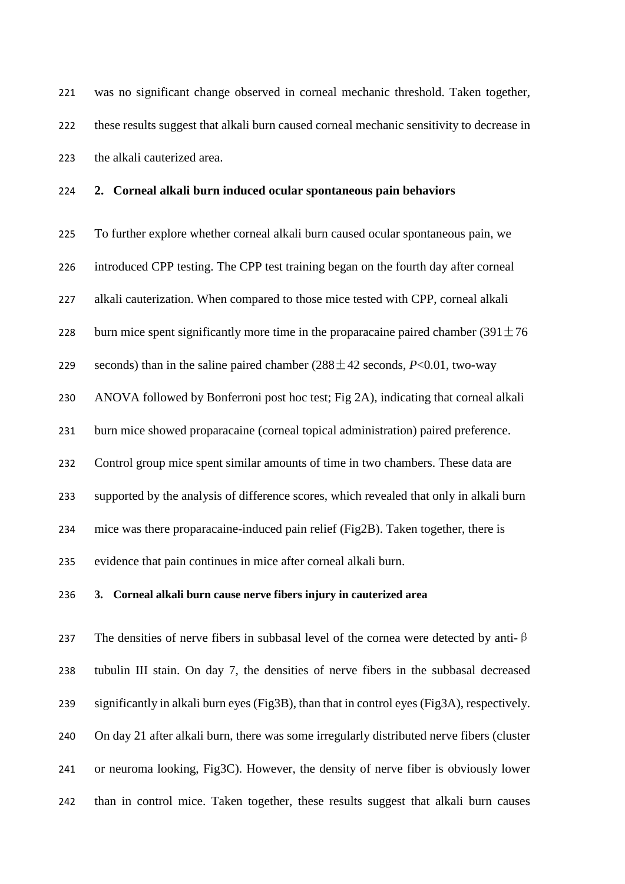was no significant change observed in corneal mechanic threshold. Taken together, these results suggest that alkali burn caused corneal mechanic sensitivity to decrease in the alkali cauterized area.

# **2. Corneal alkali burn induced ocular spontaneous pain behaviors**

 To further explore whether corneal alkali burn caused ocular spontaneous pain, we introduced CPP testing. The CPP test training began on the fourth day after corneal alkali cauterization. When compared to those mice tested with CPP, corneal alkali 228 burn mice spent significantly more time in the proparacaine paired chamber  $(391 \pm 76$ 229 seconds) than in the saline paired chamber  $(288 \pm 42 \text{ seconds}, P<0.01, \text{ two-way})$  ANOVA followed by Bonferroni post hoc test; Fig 2A), indicating that corneal alkali burn mice showed proparacaine (corneal topical administration) paired preference. Control group mice spent similar amounts of time in two chambers. These data are supported by the analysis of difference scores, which revealed that only in alkali burn mice was there proparacaine-induced pain relief (Fig2B). Taken together, there is evidence that pain continues in mice after corneal alkali burn.

# **3. Corneal alkali burn cause nerve fibers injury in cauterized area**

237 The densities of nerve fibers in subbasal level of the cornea were detected by anti- $\beta$  tubulin III stain. On day 7, the densities of nerve fibers in the subbasal decreased significantly in alkali burn eyes (Fig3B), than that in control eyes (Fig3A), respectively. On day 21 after alkali burn, there was some irregularly distributed nerve fibers (cluster or neuroma looking, Fig3C). However, the density of nerve fiber is obviously lower than in control mice. Taken together, these results suggest that alkali burn causes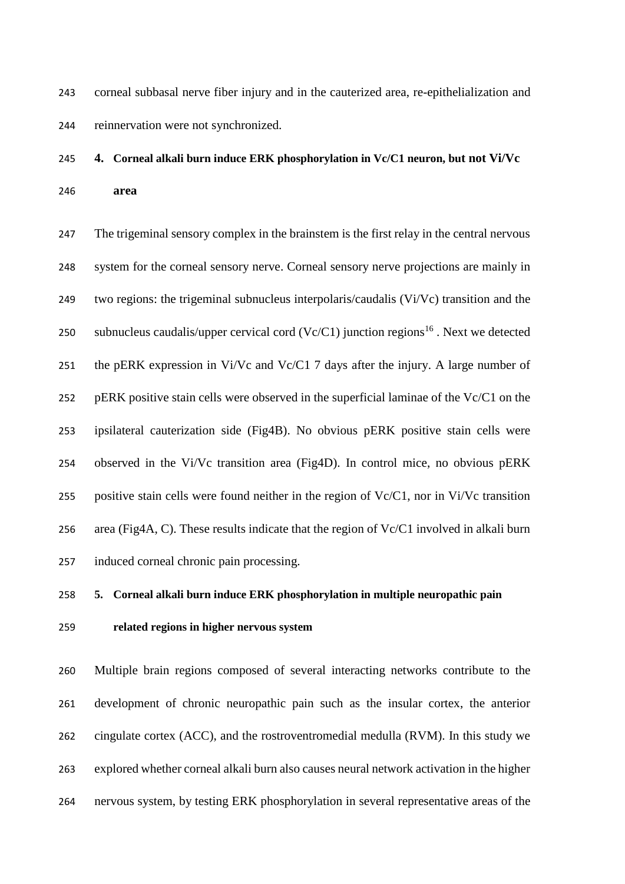corneal subbasal nerve fiber injury and in the cauterized area, re-epithelialization and reinnervation were not synchronized.

# **4. Corneal alkali burn induce ERK phosphorylation in Vc/C1 neuron, but not Vi/Vc area**

247 The trigeminal sensory complex in the brainstem is the first relay in the central nervous system for the corneal sensory nerve. Corneal sensory nerve projections are mainly in two regions: the trigeminal subnucleus interpolaris/caudalis (Vi/Vc) transition and the 250 subnucleus caudalis/upper cervical cord (Vc/C1) junction regions<sup>[16](#page-18-15)</sup>. Next we detected the pERK expression in Vi/Vc and Vc/C1 7 days after the injury. A large number of pERK positive stain cells were observed in the superficial laminae of the Vc/C1 on the ipsilateral cauterization side (Fig4B). No obvious pERK positive stain cells were observed in the Vi/Vc transition area (Fig4D). In control mice, no obvious pERK positive stain cells were found neither in the region of Vc/C1, nor in Vi/Vc transition area (Fig4A, C). These results indicate that the region of Vc/C1 involved in alkali burn induced corneal chronic pain processing.

# **5. Corneal alkali burn induce ERK phosphorylation in multiple neuropathic pain**

#### **related regions in higher nervous system**

 Multiple brain regions composed of several interacting networks contribute to the development of chronic neuropathic pain such as the insular cortex, the anterior cingulate cortex (ACC), and the rostroventromedial medulla (RVM). In this study we explored whether corneal alkali burn also causes neural network activation in the higher nervous system, by testing ERK phosphorylation in several representative areas of the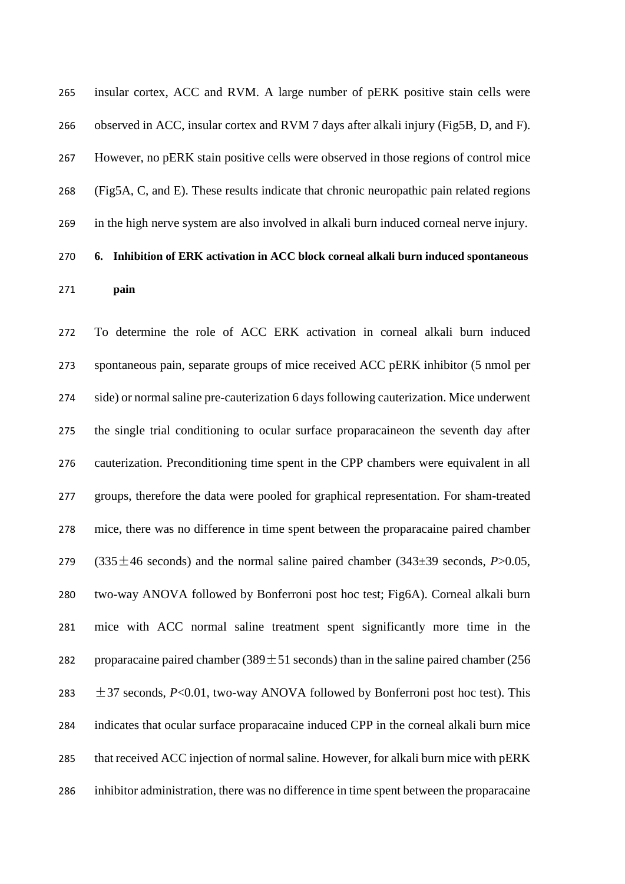insular cortex, ACC and RVM. A large number of pERK positive stain cells were observed in ACC, insular cortex and RVM 7 days after alkali injury (Fig5B, D, and F). However, no pERK stain positive cells were observed in those regions of control mice (Fig5A, C, and E). These results indicate that chronic neuropathic pain related regions in the high nerve system are also involved in alkali burn induced corneal nerve injury. **6. Inhibition of ERK activation in ACC block corneal alkali burn induced spontaneous** 

**pain**

 To determine the role of ACC ERK activation in corneal alkali burn induced spontaneous pain, separate groups of mice received ACC pERK inhibitor (5 nmol per side) or normal saline pre-cauterization 6 days following cauterization. Mice underwent the single trial conditioning to ocular surface proparacaineon the seventh day after cauterization. Preconditioning time spent in the CPP chambers were equivalent in all groups, therefore the data were pooled for graphical representation. For sham-treated mice, there was no difference in time spent between the proparacaine paired chamber 279 (335 $\pm$ 46 seconds) and the normal saline paired chamber (343 $\pm$ 39 seconds, *P*>0.05, two-way ANOVA followed by Bonferroni post hoc test; Fig6A). Corneal alkali burn mice with ACC normal saline treatment spent significantly more time in the 282 proparacaine paired chamber (389 $\pm$ 51 seconds) than in the saline paired chamber (256  $\pm$  37 seconds, *P*<0.01, two-way ANOVA followed by Bonferroni post hoc test). This indicates that ocular surface proparacaine induced CPP in the corneal alkali burn mice that received ACC injection of normal saline. However, for alkali burn mice with pERK inhibitor administration, there was no difference in time spent between the proparacaine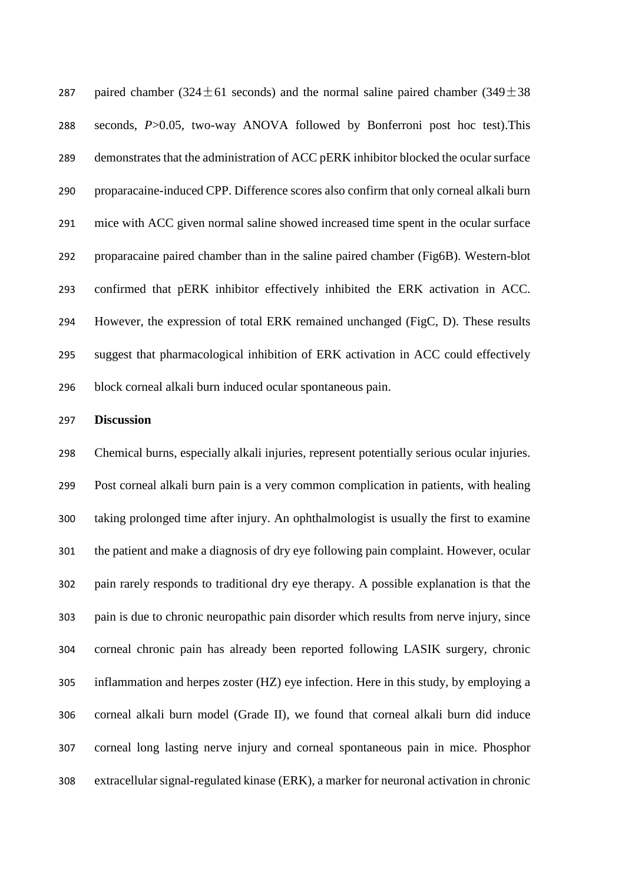287 paired chamber (324 $\pm$ 61 seconds) and the normal saline paired chamber (349 $\pm$ 38 seconds, *P*>0.05, two-way ANOVA followed by Bonferroni post hoc test).This demonstrates that the administration of ACC pERK inhibitor blocked the ocular surface proparacaine-induced CPP. Difference scores also confirm that only corneal alkali burn mice with ACC given normal saline showed increased time spent in the ocular surface proparacaine paired chamber than in the saline paired chamber (Fig6B). Western-blot confirmed that pERK inhibitor effectively inhibited the ERK activation in ACC. However, the expression of total ERK remained unchanged (FigC, D). These results suggest that pharmacological inhibition of ERK activation in ACC could effectively block corneal alkali burn induced ocular spontaneous pain.

# **Discussion**

 Chemical burns, especially alkali injuries, represent potentially serious ocular injuries. Post corneal alkali burn pain is a very common complication in patients, with healing taking prolonged time after injury. An ophthalmologist is usually the first to examine the patient and make a diagnosis of dry eye following pain complaint. However, ocular pain rarely responds to traditional dry eye therapy. A possible explanation is that the pain is due to chronic neuropathic pain disorder which results from nerve injury, since corneal chronic pain has already been reported following LASIK surgery, chronic inflammation and herpes zoster (HZ) eye infection. Here in this study, by employing a corneal alkali burn model (Grade II), we found that corneal alkali burn did induce corneal long lasting nerve injury and corneal spontaneous pain in mice. Phosphor extracellular signal-regulated kinase (ERK), a marker for neuronal activation in chronic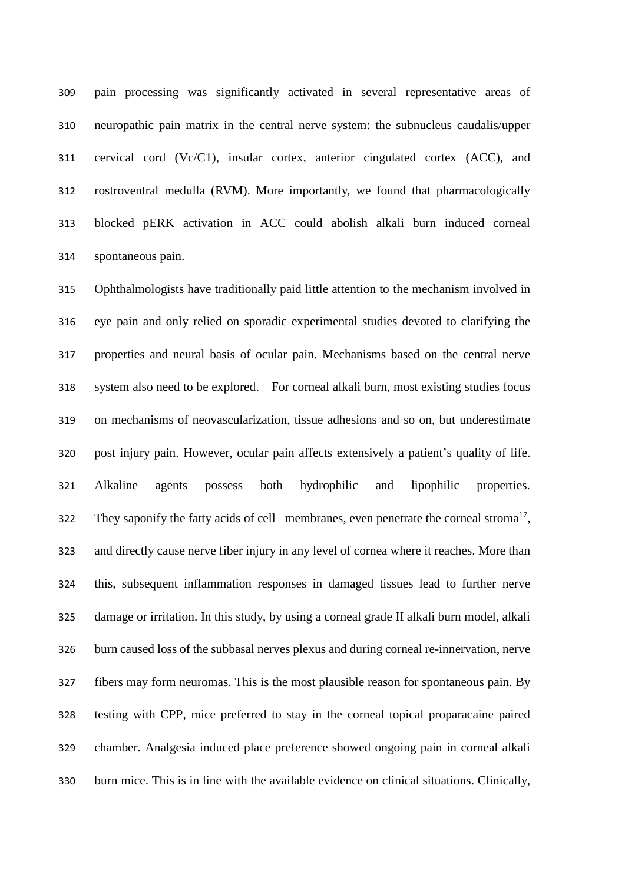pain processing was significantly activated in several representative areas of neuropathic pain matrix in the central nerve system: the subnucleus caudalis/upper cervical cord (Vc/C1), insular cortex, anterior cingulated cortex (ACC), and rostroventral medulla (RVM). More importantly, we found that pharmacologically blocked pERK activation in ACC could abolish alkali burn induced corneal spontaneous pain.

 Ophthalmologists have traditionally paid little attention to the mechanism involved in eye pain and only relied on sporadic experimental studies devoted to clarifying the properties and neural basis of ocular pain. Mechanisms based on the central nerve system also need to be explored. For corneal alkali burn, most existing studies focus on mechanisms of neovascularization, tissue adhesions and so on, but underestimate post injury pain. However, ocular pain affects extensively a patient's quality of life. Alkaline agents possess both hydrophilic and lipophilic properties. They saponify the [fatty acids](http://en.wikipedia.org/wiki/Fatty_acids) of cell [membranes,](http://en.wikipedia.org/wiki/Cell_membranes) even penetrate the corneal stroma<sup>[17](#page-18-16)</sup>, and directly cause nerve fiber injury in any level of cornea where it reaches. More than this, subsequent inflammation responses in damaged tissues lead to further nerve damage or irritation. In this study, by using a corneal grade II alkali burn model, alkali burn caused loss of the subbasal nerves plexus and during corneal re-innervation, nerve fibers may form neuromas. This is the most plausible reason for spontaneous pain. By testing with CPP, mice preferred to stay in the corneal topical proparacaine paired chamber. Analgesia induced place preference showed ongoing pain in corneal alkali burn mice. This is in line with the available evidence on clinical situations. Clinically,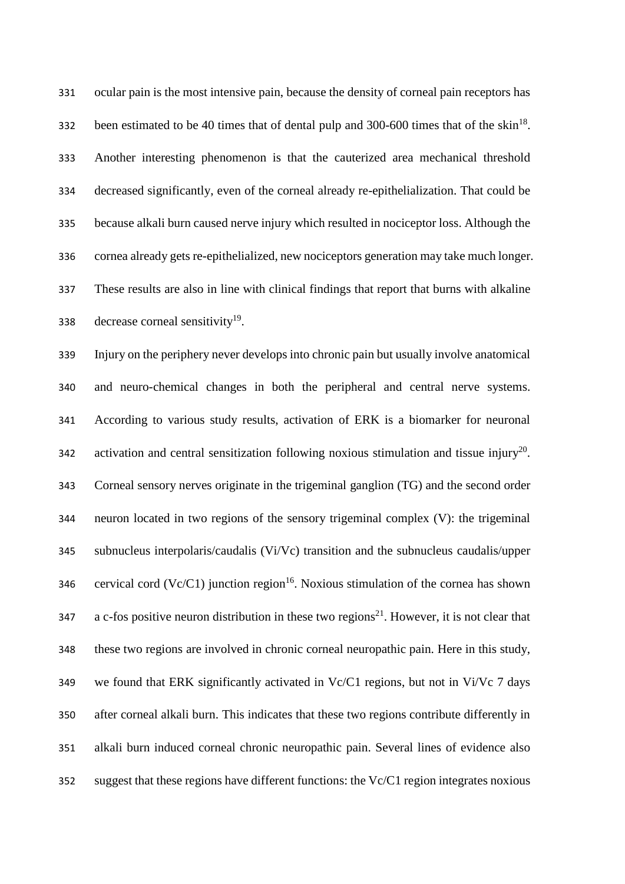ocular pain is the most intensive pain, because the density of corneal pain receptors has been estimated to be 40 times that of dental pulp and 300-600 times that of the skin<sup>[18](#page-18-17)</sup>. Another interesting phenomenon is that the cauterized area mechanical threshold decreased significantly, even of the corneal already re-epithelialization. That could be because alkali burn caused nerve injury which resulted in nociceptor loss. Although the cornea already gets re-epithelialized, new nociceptors generation may take much longer. These results are also in line with clinical findings that report that burns with alkaline 338 decrease corneal sensitivity.

 Injury on the periphery never develops into chronic pain but usually involve anatomical and neuro-chemical changes in both the peripheral and central nerve systems. According to various study results, activation of ERK is a biomarker for neuronal 342 activation and central sensitization following noxious stimulation and tissue injury<sup>[20](#page-18-19)</sup>. Corneal sensory nerves originate in the trigeminal ganglion (TG) and the second order neuron located in two regions of the sensory trigeminal complex (V): the trigeminal subnucleus interpolaris/caudalis (Vi/Vc) transition and the subnucleus caudalis/upper sala cervical cord (Vc/C1) junction region<sup>[16](#page-18-15)</sup>. Noxious stimulation of the cornea has shown a c-fos positive neuron distribution in these two regions<sup>[21](#page-19-0)</sup>. However, it is not clear that these two regions are involved in chronic corneal neuropathic pain. Here in this study, we found that ERK significantly activated in Vc/C1 regions, but not in Vi/Vc 7 days after corneal alkali burn. This indicates that these two regions contribute differently in alkali burn induced corneal chronic neuropathic pain. Several lines of evidence also suggest that these regions have different functions: the Vc/C1 region integrates noxious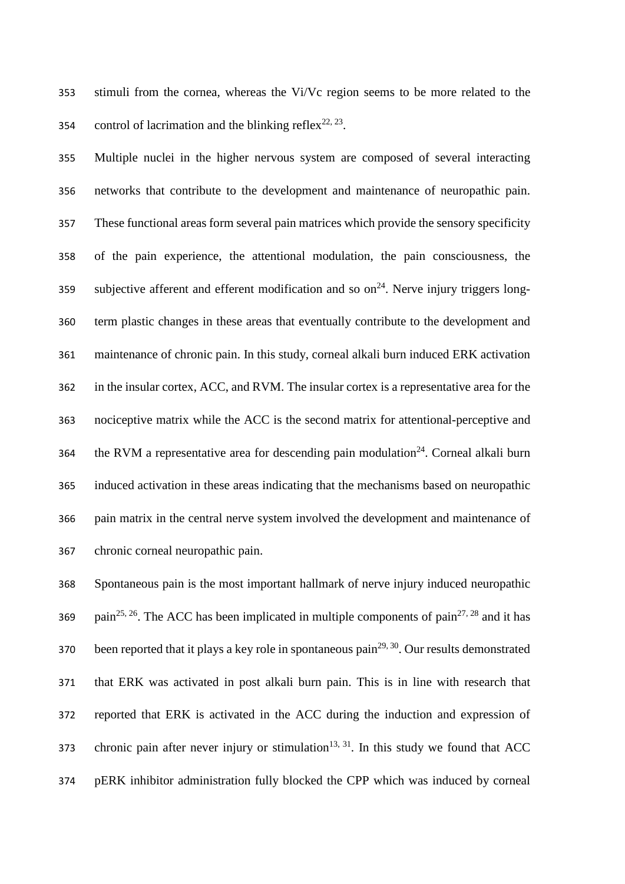stimuli from the cornea, whereas the Vi/Vc region seems to be more related to the 354 control of lacrimation and the blinking reflex<sup>[22,](#page-19-1) [23](#page-19-2)</sup>.

 Multiple nuclei in the higher nervous system are composed of several interacting networks that contribute to the development and maintenance of neuropathic pain. These functional areas form several pain matrices which provide the sensory specificity of the pain experience, the attentional modulation, the pain consciousness, the subjective afferent and efferent modification and so  $\text{on}^{24}$  $\text{on}^{24}$  $\text{on}^{24}$ . Nerve injury triggers long- term plastic changes in these areas that eventually contribute to the development and maintenance of chronic pain. In this study, corneal alkali burn induced ERK activation in the insular cortex, ACC, and RVM. The insular cortex is a representative area for the nociceptive matrix while the ACC is the second matrix for attentional-perceptive and the RVM a representative area for descending pain modulation<sup>[24](#page-19-3)</sup>. Corneal alkali burn induced activation in these areas indicating that the mechanisms based on neuropathic pain matrix in the central nerve system involved the development and maintenance of chronic corneal neuropathic pain.

 Spontaneous pain is the most important hallmark of nerve injury induced neuropathic 369 pain<sup>[25,](#page-19-4) [26](#page-19-5)</sup>. The ACC has been implicated in multiple components of pain<sup>[27,](#page-19-6) [28](#page-19-7)</sup> and it has 370 been reported that it plays a key role in spontaneous pain<sup>[29,](#page-19-8) [30](#page-19-9)</sup>. Our results demonstrated that ERK was activated in post alkali burn pain. This is in line with research that reported that ERK is activated in the ACC during the induction and expression of 373 chronic pain after never injury or stimulation<sup>[13,](#page-18-12) [31](#page-19-10)</sup>. In this study we found that ACC pERK inhibitor administration fully blocked the CPP which was induced by corneal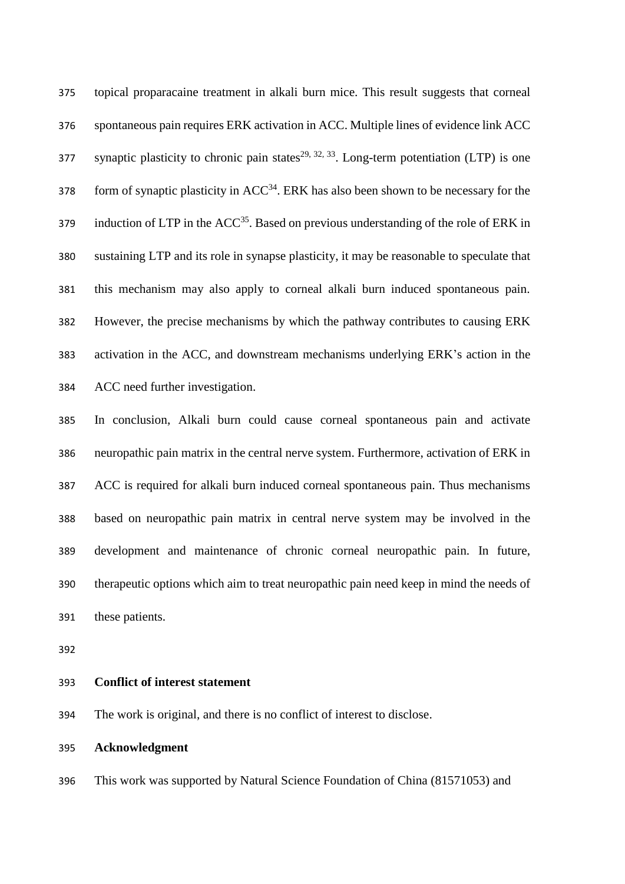topical proparacaine treatment in alkali burn mice. This result suggests that corneal spontaneous pain requires ERK activation in ACC. Multiple lines of evidence link ACC synaptic plasticity to chronic pain states<sup>[29,](#page-19-8) [32,](#page-19-11) [33](#page-19-12)</sup>. Long-term potentiation (LTP) is one  $f_{\text{5}}$  378 form of synaptic plasticity in ACC<sup>[34](#page-19-13)</sup>. ERK has also been shown to be necessary for the 379 induction of LTP in the  $ACC^{35}$  $ACC^{35}$  $ACC^{35}$ . Based on previous understanding of the role of ERK in sustaining LTP and its role in synapse plasticity, it may be reasonable to speculate that this mechanism may also apply to corneal alkali burn induced spontaneous pain. However, the precise mechanisms by which the pathway contributes to causing ERK activation in the ACC, and downstream mechanisms underlying ERK's action in the ACC need further investigation.

 In conclusion, Alkali burn could cause corneal spontaneous pain and activate neuropathic pain matrix in the central nerve system. Furthermore, activation of ERK in ACC is required for alkali burn induced corneal spontaneous pain. Thus mechanisms based on neuropathic pain matrix in central nerve system may be involved in the development and maintenance of chronic corneal neuropathic pain. In future, therapeutic options which aim to treat neuropathic pain need keep in mind the needs of these patients.

#### **Conflict of interest statement**

The work is original, and there is no conflict of interest to disclose.

#### **Acknowledgment**

This work was supported by Natural Science Foundation of China (81571053) and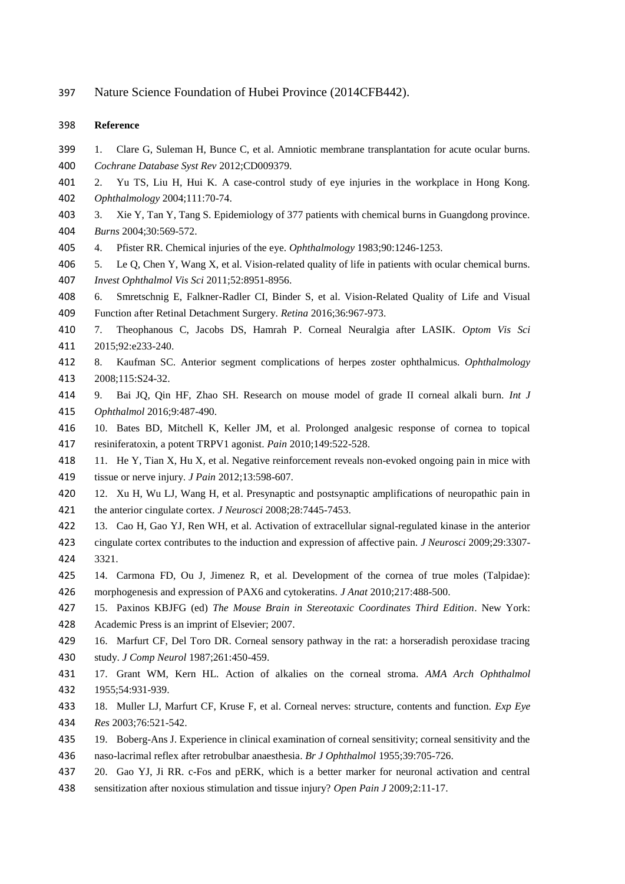Nature Science Foundation of Hubei Province (2014CFB442).

#### **Reference**

- <span id="page-18-0"></span> 1. Clare G, Suleman H, Bunce C, et al. Amniotic membrane transplantation for acute ocular burns. *Cochrane Database Syst Rev* 2012;CD009379.
- <span id="page-18-1"></span> 2. Yu TS, Liu H, Hui K. A case-control study of eye injuries in the workplace in Hong Kong. *Ophthalmology* 2004;111:70-74.
- <span id="page-18-2"></span> 3. Xie Y, Tan Y, Tang S. Epidemiology of 377 patients with chemical burns in Guangdong province. *Burns* 2004;30:569-572.
- <span id="page-18-3"></span>4. Pfister RR. Chemical injuries of the eye. *Ophthalmology* 1983;90:1246-1253.
- <span id="page-18-4"></span> 5. Le Q, Chen Y, Wang X, et al. Vision-related quality of life in patients with ocular chemical burns. *Invest Ophthalmol Vis Sci* 2011;52:8951-8956.
- <span id="page-18-5"></span> 6. Smretschnig E, Falkner-Radler CI, Binder S, et al. Vision-Related Quality of Life and Visual Function after Retinal Detachment Surgery. *Retina* 2016;36:967-973.
- <span id="page-18-6"></span> 7. Theophanous C, Jacobs DS, Hamrah P. Corneal Neuralgia after LASIK. *Optom Vis Sci* 2015;92:e233-240.
- <span id="page-18-7"></span> 8. Kaufman SC. Anterior segment complications of herpes zoster ophthalmicus. *Ophthalmology* 2008;115:S24-32.
- <span id="page-18-8"></span> 9. Bai JQ, Qin HF, Zhao SH. Research on mouse model of grade II corneal alkali burn. *Int J Ophthalmol* 2016;9:487-490.
- <span id="page-18-9"></span> 10. Bates BD, Mitchell K, Keller JM, et al. Prolonged analgesic response of cornea to topical resiniferatoxin, a potent TRPV1 agonist. *Pain* 2010;149:522-528.
- <span id="page-18-10"></span> 11. He Y, Tian X, Hu X, et al. Negative reinforcement reveals non-evoked ongoing pain in mice with tissue or nerve injury. *J Pain* 2012;13:598-607.
- <span id="page-18-11"></span> 12. Xu H, Wu LJ, Wang H, et al. Presynaptic and postsynaptic amplifications of neuropathic pain in the anterior cingulate cortex. *J Neurosci* 2008;28:7445-7453.
- <span id="page-18-12"></span> 13. Cao H, Gao YJ, Ren WH, et al. Activation of extracellular signal-regulated kinase in the anterior cingulate cortex contributes to the induction and expression of affective pain. *J Neurosci* 2009;29:3307- 3321.
- <span id="page-18-13"></span> 14. Carmona FD, Ou J, Jimenez R, et al. Development of the cornea of true moles (Talpidae): morphogenesis and expression of PAX6 and cytokeratins. *J Anat* 2010;217:488-500.
- <span id="page-18-14"></span> 15. Paxinos KBJFG (ed) *The Mouse Brain in Stereotaxic Coordinates Third Edition*. New York: Academic Press is an imprint of Elsevier; 2007.
- <span id="page-18-15"></span> 16. Marfurt CF, Del Toro DR. Corneal sensory pathway in the rat: a horseradish peroxidase tracing study. *J Comp Neurol* 1987;261:450-459.
- <span id="page-18-16"></span> 17. Grant WM, Kern HL. Action of alkalies on the corneal stroma. *AMA Arch Ophthalmol* 1955;54:931-939.
- <span id="page-18-17"></span> 18. Muller LJ, Marfurt CF, Kruse F, et al. Corneal nerves: structure, contents and function. *Exp Eye Res* 2003;76:521-542.
- <span id="page-18-18"></span> 19. Boberg-Ans J. Experience in clinical examination of corneal sensitivity; corneal sensitivity and the naso-lacrimal reflex after retrobulbar anaesthesia. *Br J Ophthalmol* 1955;39:705-726.
- <span id="page-18-19"></span>20. Gao YJ, Ji RR. c-Fos and pERK, which is a better marker for neuronal activation and central
- sensitization after noxious stimulation and tissue injury? *Open Pain J* 2009;2:11-17.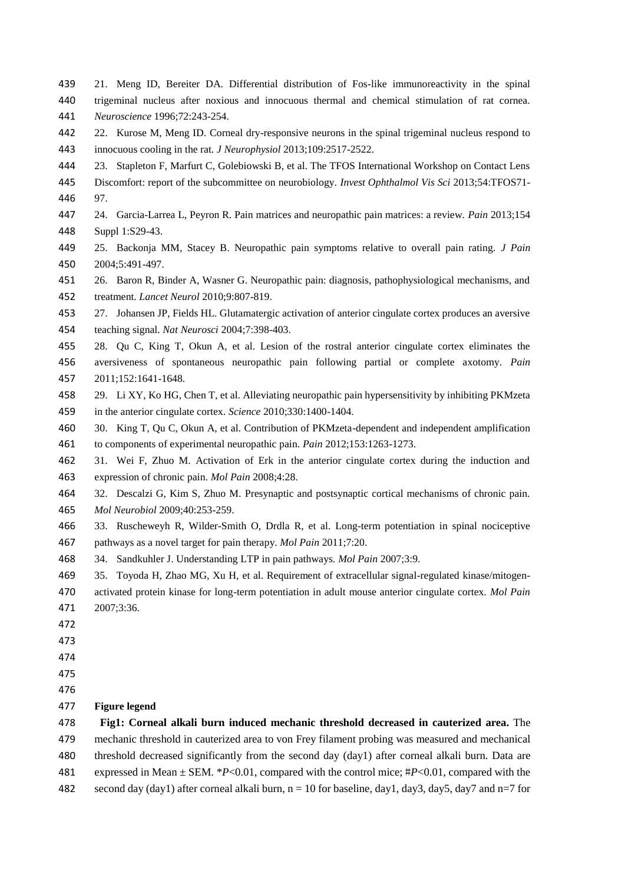- <span id="page-19-0"></span> 21. Meng ID, Bereiter DA. Differential distribution of Fos-like immunoreactivity in the spinal trigeminal nucleus after noxious and innocuous thermal and chemical stimulation of rat cornea. *Neuroscience* 1996;72:243-254.
- <span id="page-19-1"></span> 22. Kurose M, Meng ID. Corneal dry-responsive neurons in the spinal trigeminal nucleus respond to innocuous cooling in the rat. *J Neurophysiol* 2013;109:2517-2522.
- <span id="page-19-2"></span>23. Stapleton F, Marfurt C, Golebiowski B, et al. The TFOS International Workshop on Contact Lens
- Discomfort: report of the subcommittee on neurobiology. *Invest Ophthalmol Vis Sci* 2013;54:TFOS71- 97.
- <span id="page-19-3"></span> 24. Garcia-Larrea L, Peyron R. Pain matrices and neuropathic pain matrices: a review. *Pain* 2013;154 Suppl 1:S29-43.
- <span id="page-19-4"></span> 25. Backonja MM, Stacey B. Neuropathic pain symptoms relative to overall pain rating. *J Pain* 2004;5:491-497.
- <span id="page-19-5"></span> 26. Baron R, Binder A, Wasner G. Neuropathic pain: diagnosis, pathophysiological mechanisms, and treatment. *Lancet Neurol* 2010;9:807-819.
- <span id="page-19-6"></span> 27. Johansen JP, Fields HL. Glutamatergic activation of anterior cingulate cortex produces an aversive teaching signal. *Nat Neurosci* 2004;7:398-403.
- <span id="page-19-7"></span> 28. Qu C, King T, Okun A, et al. Lesion of the rostral anterior cingulate cortex eliminates the aversiveness of spontaneous neuropathic pain following partial or complete axotomy. *Pain* 2011;152:1641-1648.
- <span id="page-19-8"></span> 29. Li XY, Ko HG, Chen T, et al. Alleviating neuropathic pain hypersensitivity by inhibiting PKMzeta in the anterior cingulate cortex. *Science* 2010;330:1400-1404.
- <span id="page-19-9"></span> 30. King T, Qu C, Okun A, et al. Contribution of PKMzeta-dependent and independent amplification to components of experimental neuropathic pain. *Pain* 2012;153:1263-1273.
- <span id="page-19-10"></span> 31. Wei F, Zhuo M. Activation of Erk in the anterior cingulate cortex during the induction and expression of chronic pain. *Mol Pain* 2008;4:28.
- <span id="page-19-11"></span> 32. Descalzi G, Kim S, Zhuo M. Presynaptic and postsynaptic cortical mechanisms of chronic pain. *Mol Neurobiol* 2009;40:253-259.
- <span id="page-19-12"></span> 33. Ruscheweyh R, Wilder-Smith O, Drdla R, et al. Long-term potentiation in spinal nociceptive pathways as a novel target for pain therapy. *Mol Pain* 2011;7:20.
- <span id="page-19-13"></span>34. Sandkuhler J. Understanding LTP in pain pathways. *Mol Pain* 2007;3:9.
- <span id="page-19-14"></span> 35. Toyoda H, Zhao MG, Xu H, et al. Requirement of extracellular signal-regulated kinase/mitogen- activated protein kinase for long-term potentiation in adult mouse anterior cingulate cortex. *Mol Pain* 2007;3:36.
- 
- 

- 
- 

#### **Figure legend**

 **Fig1: Corneal alkali burn induced mechanic threshold decreased in cauterized area.** The mechanic threshold in cauterized area to von Frey filament probing was measured and mechanical threshold decreased significantly from the second day (day1) after corneal alkali burn. Data are expressed in Mean ± SEM. \**P*<0.01, compared with the control mice; #*P*<0.01, compared with the 482 second day (day1) after corneal alkali burn,  $n = 10$  for baseline, day1, day3, day5, day7 and  $n=7$  for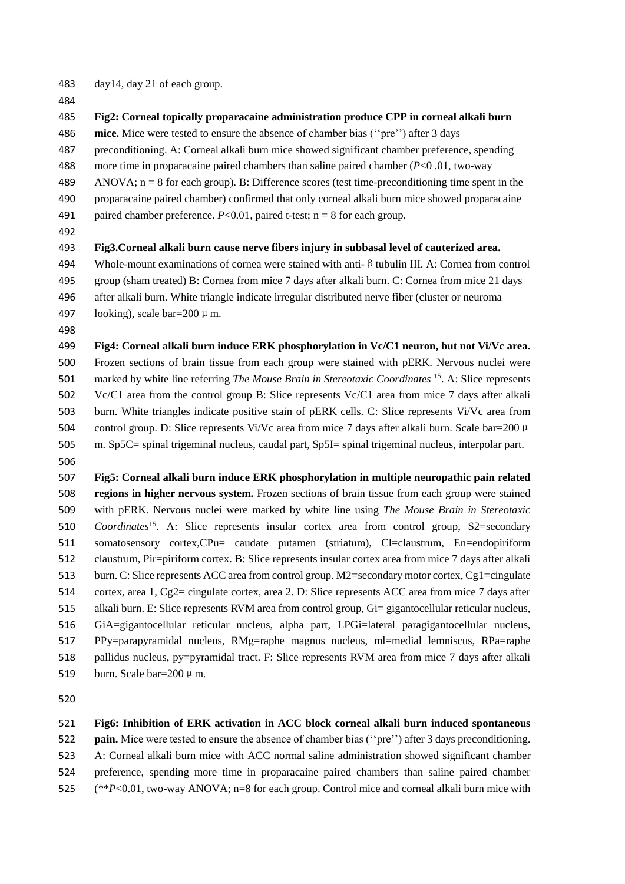- day14, day 21 of each group.
- 
- **Fig2: Corneal topically proparacaine administration produce CPP in corneal alkali burn**
- **mice.** Mice were tested to ensure the absence of chamber bias (''pre'') after 3 days
- preconditioning. A: Corneal alkali burn mice showed significant chamber preference, spending
- more time in proparacaine paired chambers than saline paired chamber (*P*<0 .01, two-way
- 489 ANOVA;  $n = 8$  for each group). B: Difference scores (test time-preconditioning time spent in the
- proparacaine paired chamber) confirmed that only corneal alkali burn mice showed proparacaine
- 491 paired chamber preference.  $P < 0.01$ , paired t-test; n = 8 for each group.
- 

### **Fig3.Corneal alkali burn cause nerve fibers injury in subbasal level of cauterized area.**

 Whole-mount examinations of cornea were stained with anti-βtubulin III. A: Cornea from control group (sham treated) B: Cornea from mice 7 days after alkali burn. C: Cornea from mice 21 days after alkali burn. White triangle indicate irregular distributed nerve fiber (cluster or neuroma 497 looking), scale bar= $200 \mu$  m.

 **Fig4: Corneal alkali burn induce ERK phosphorylation in Vc/C1 neuron, but not Vi/Vc area.** Frozen sections of brain tissue from each group were stained with pERK. Nervous nuclei were 501 marked by white line referring *The Mouse Brain in Stereotaxic Coordinates* <sup>[15](#page-18-14)</sup>. A: Slice represents Vc/C1 area from the control group B: Slice represents Vc/C1 area from mice 7 days after alkali burn. White triangles indicate positive stain of pERK cells. C: Slice represents Vi/Vc area from 504 control group. D: Slice represents Vi/Vc area from mice 7 days after alkali burn. Scale bar=200 μ m. Sp5C= spinal trigeminal nucleus, caudal part, Sp5I= spinal trigeminal nucleus, interpolar part.

 **Fig5: Corneal alkali burn induce ERK phosphorylation in multiple neuropathic pain related regions in higher nervous system.** Frozen sections of brain tissue from each group were stained with pERK. Nervous nuclei were marked by white line using *The Mouse Brain in Stereotaxic Coordinates*<sup>[15](#page-18-14)</sup>[.](#page-18-14) A: Slice represents insular cortex area from control group, S2=secondary somatosensory cortex,CPu= caudate putamen (striatum), Cl=claustrum, En=endopiriform claustrum, Pir=piriform cortex. B: Slice represents insular cortex area from mice 7 days after alkali 513 burn. C: Slice represents ACC area from control group. M2=secondary motor cortex, Cg1=cingulate cortex, area 1, Cg2= cingulate cortex, area 2. D: Slice represents ACC area from mice 7 days after alkali burn. E: Slice represents RVM area from control group, Gi= gigantocellular reticular nucleus, GiA=gigantocellular reticular nucleus, alpha part, LPGi=lateral paragigantocellular nucleus, PPy=parapyramidal nucleus, RMg=raphe magnus nucleus, ml=medial lemniscus, RPa=raphe pallidus nucleus, py=pyramidal tract. F: Slice represents RVM area from mice 7 days after alkali 519 burn. Scale bar= $200 \mu$  m.

#### **Fig6: Inhibition of ERK activation in ACC block corneal alkali burn induced spontaneous**

**pain.** Mice were tested to ensure the absence of chamber bias (''pre'') after 3 days preconditioning.

- A: Corneal alkali burn mice with ACC normal saline administration showed significant chamber
- preference, spending more time in proparacaine paired chambers than saline paired chamber
- (\*\**P*<0.01, two-way ANOVA; n=8 for each group. Control mice and corneal alkali burn mice with